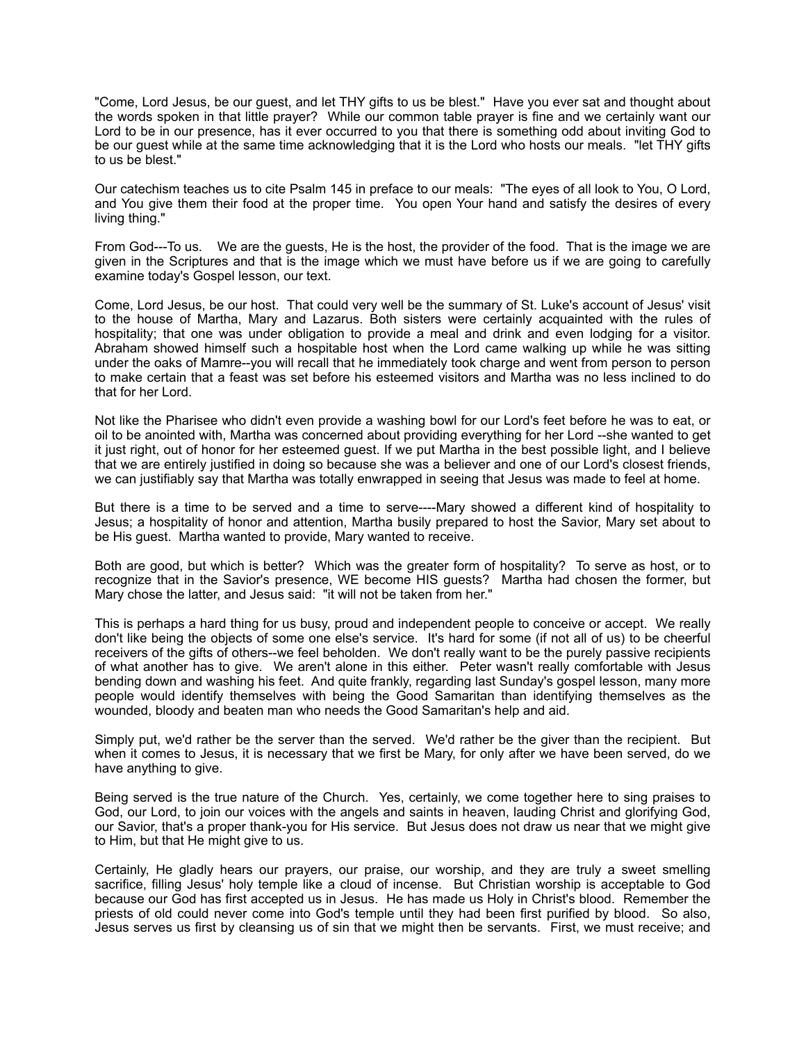"Come, Lord Jesus, be our guest, and let THY gifts to us be blest." Have you ever sat and thought about the words spoken in that little prayer? While our common table prayer is fine and we certainly want our Lord to be in our presence, has it ever occurred to you that there is something odd about inviting God to be our guest while at the same time acknowledging that it is the Lord who hosts our meals. "let THY gifts to us be blest."

Our catechism teaches us to cite Psalm 145 in preface to our meals: "The eyes of all look to You, O Lord, and You give them their food at the proper time. You open Your hand and satisfy the desires of every living thing."

From God---To us. We are the guests, He is the host, the provider of the food. That is the image we are given in the Scriptures and that is the image which we must have before us if we are going to carefully examine today's Gospel lesson, our text.

Come, Lord Jesus, be our host. That could very well be the summary of St. Luke's account of Jesus' visit to the house of Martha, Mary and Lazarus. Both sisters were certainly acquainted with the rules of hospitality; that one was under obligation to provide a meal and drink and even lodging for a visitor. Abraham showed himself such a hospitable host when the Lord came walking up while he was sitting under the oaks of Mamre--you will recall that he immediately took charge and went from person to person to make certain that a feast was set before his esteemed visitors and Martha was no less inclined to do that for her Lord.

Not like the Pharisee who didn't even provide a washing bowl for our Lord's feet before he was to eat, or oil to be anointed with, Martha was concerned about providing everything for her Lord --she wanted to get it just right, out of honor for her esteemed guest. If we put Martha in the best possible light, and I believe that we are entirely justified in doing so because she was a believer and one of our Lord's closest friends, we can justifiably say that Martha was totally enwrapped in seeing that Jesus was made to feel at home.

But there is a time to be served and a time to serve----Mary showed a different kind of hospitality to Jesus; a hospitality of honor and attention, Martha busily prepared to host the Savior, Mary set about to be His guest. Martha wanted to provide, Mary wanted to receive.

Both are good, but which is better? Which was the greater form of hospitality? To serve as host, or to recognize that in the Savior's presence, WE become HIS guests? Martha had chosen the former, but Mary chose the latter, and Jesus said: "it will not be taken from her."

This is perhaps a hard thing for us busy, proud and independent people to conceive or accept. We really don't like being the objects of some one else's service. It's hard for some (if not all of us) to be cheerful receivers of the gifts of others--we feel beholden. We don't really want to be the purely passive recipients of what another has to give. We aren't alone in this either. Peter wasn't really comfortable with Jesus bending down and washing his feet. And quite frankly, regarding last Sunday's gospel lesson, many more people would identify themselves with being the Good Samaritan than identifying themselves as the wounded, bloody and beaten man who needs the Good Samaritan's help and aid.

Simply put, we'd rather be the server than the served. We'd rather be the giver than the recipient. But when it comes to Jesus, it is necessary that we first be Mary, for only after we have been served, do we have anything to give.

Being served is the true nature of the Church. Yes, certainly, we come together here to sing praises to God, our Lord, to join our voices with the angels and saints in heaven, lauding Christ and glorifying God, our Savior, that's a proper thank-you for His service. But Jesus does not draw us near that we might give to Him, but that He might give to us.

Certainly, He gladly hears our prayers, our praise, our worship, and they are truly a sweet smelling sacrifice, filling Jesus' holy temple like a cloud of incense. But Christian worship is acceptable to God because our God has first accepted us in Jesus. He has made us Holy in Christ's blood. Remember the priests of old could never come into God's temple until they had been first purified by blood. So also, Jesus serves us first by cleansing us of sin that we might then be servants. First, we must receive; and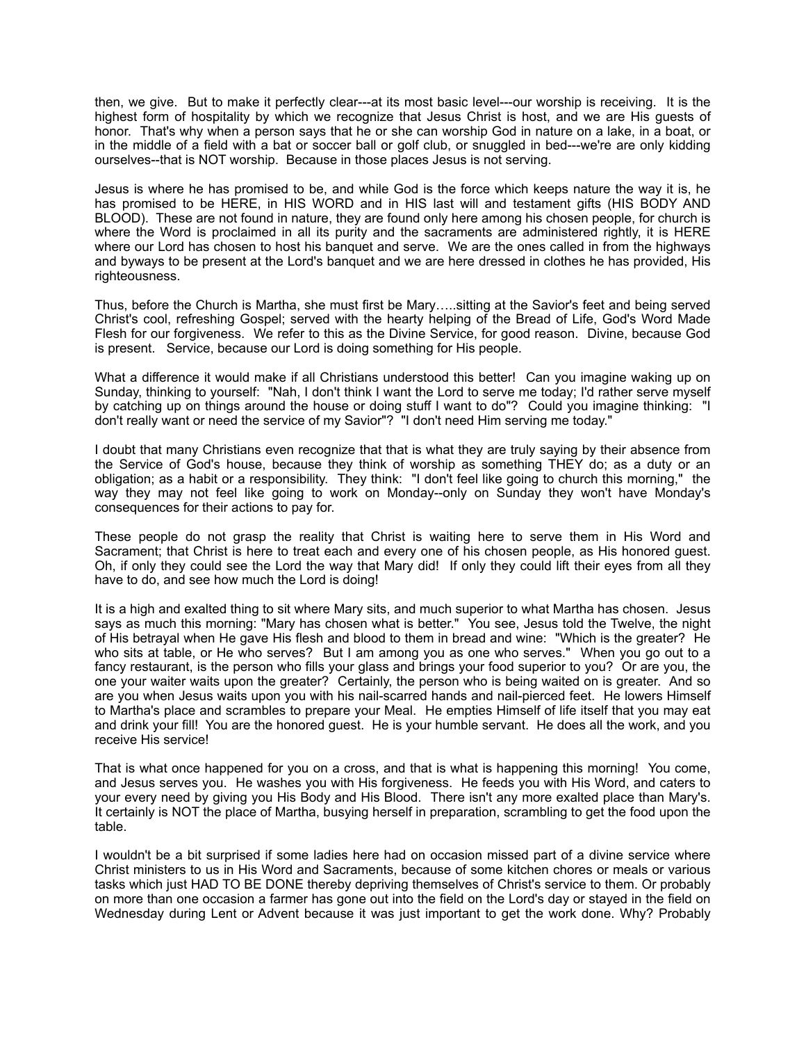then, we give. But to make it perfectly clear---at its most basic level---our worship is receiving. It is the highest form of hospitality by which we recognize that Jesus Christ is host, and we are His guests of honor. That's why when a person says that he or she can worship God in nature on a lake, in a boat, or in the middle of a field with a bat or soccer ball or golf club, or snuggled in bed---we're are only kidding ourselves--that is NOT worship. Because in those places Jesus is not serving.

Jesus is where he has promised to be, and while God is the force which keeps nature the way it is, he has promised to be HERE, in HIS WORD and in HIS last will and testament gifts (HIS BODY AND BLOOD). These are not found in nature, they are found only here among his chosen people, for church is where the Word is proclaimed in all its purity and the sacraments are administered rightly, it is HERE where our Lord has chosen to host his banquet and serve. We are the ones called in from the highways and byways to be present at the Lord's banquet and we are here dressed in clothes he has provided, His righteousness.

Thus, before the Church is Martha, she must first be Mary…..sitting at the Savior's feet and being served Christ's cool, refreshing Gospel; served with the hearty helping of the Bread of Life, God's Word Made Flesh for our forgiveness. We refer to this as the Divine Service, for good reason. Divine, because God is present. Service, because our Lord is doing something for His people.

What a difference it would make if all Christians understood this better! Can you imagine waking up on Sunday, thinking to yourself: "Nah, I don't think I want the Lord to serve me today; I'd rather serve myself by catching up on things around the house or doing stuff I want to do"? Could you imagine thinking: "I don't really want or need the service of my Savior"? "I don't need Him serving me today."

I doubt that many Christians even recognize that that is what they are truly saying by their absence from the Service of God's house, because they think of worship as something THEY do; as a duty or an obligation; as a habit or a responsibility. They think: "I don't feel like going to church this morning," the way they may not feel like going to work on Monday--only on Sunday they won't have Monday's consequences for their actions to pay for.

These people do not grasp the reality that Christ is waiting here to serve them in His Word and Sacrament; that Christ is here to treat each and every one of his chosen people, as His honored guest. Oh, if only they could see the Lord the way that Mary did! If only they could lift their eyes from all they have to do, and see how much the Lord is doing!

It is a high and exalted thing to sit where Mary sits, and much superior to what Martha has chosen. Jesus says as much this morning: "Mary has chosen what is better." You see, Jesus told the Twelve, the night of His betrayal when He gave His flesh and blood to them in bread and wine: "Which is the greater? He who sits at table, or He who serves? But I am among you as one who serves." When you go out to a fancy restaurant, is the person who fills your glass and brings your food superior to you? Or are you, the one your waiter waits upon the greater? Certainly, the person who is being waited on is greater. And so are you when Jesus waits upon you with his nail-scarred hands and nail-pierced feet. He lowers Himself to Martha's place and scrambles to prepare your Meal. He empties Himself of life itself that you may eat and drink your fill! You are the honored guest. He is your humble servant. He does all the work, and you receive His service!

That is what once happened for you on a cross, and that is what is happening this morning! You come, and Jesus serves you. He washes you with His forgiveness. He feeds you with His Word, and caters to your every need by giving you His Body and His Blood. There isn't any more exalted place than Mary's. It certainly is NOT the place of Martha, busying herself in preparation, scrambling to get the food upon the table.

I wouldn't be a bit surprised if some ladies here had on occasion missed part of a divine service where Christ ministers to us in His Word and Sacraments, because of some kitchen chores or meals or various tasks which just HAD TO BE DONE thereby depriving themselves of Christ's service to them. Or probably on more than one occasion a farmer has gone out into the field on the Lord's day or stayed in the field on Wednesday during Lent or Advent because it was just important to get the work done. Why? Probably